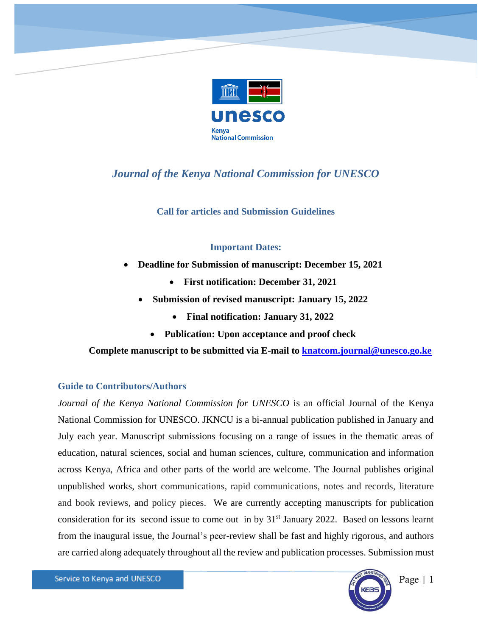

# *Journal of the Kenya National Commission for UNESCO*

**Call for articles and Submission Guidelines**

## **Important Dates:**

- **Deadline for Submission of manuscript: December 15, 2021**
	- **First notification: December 31, 2021**
	- **Submission of revised manuscript: January 15, 2022**
		- **Final notification: January 31, 2022**
		- **Publication: Upon acceptance and proof check**

**Complete manuscript to be submitted via E-mail to [knatcom.journal@unesco.go.ke](mailto:knatcom.journal@unesco.go.ke)**

## **Guide to Contributors/Authors**

*Journal of the Kenya National Commission for UNESCO* is an official Journal of the Kenya National Commission for UNESCO. JKNCU is a bi-annual publication published in January and July each year. Manuscript submissions focusing on a range of issues in the thematic areas of education, natural sciences, social and human sciences, culture, communication and information across Kenya, Africa and other parts of the world are welcome. The Journal publishes original unpublished works, short communications, rapid communications, notes and records, literature and book reviews, and policy pieces. We are currently accepting manuscripts for publication consideration for its second issue to come out in by 31<sup>st</sup> January 2022. Based on lessons learnt from the inaugural issue, the Journal's peer-review shall be fast and highly rigorous, and authors are carried along adequately throughout all the review and publication processes. Submission must



Page | 1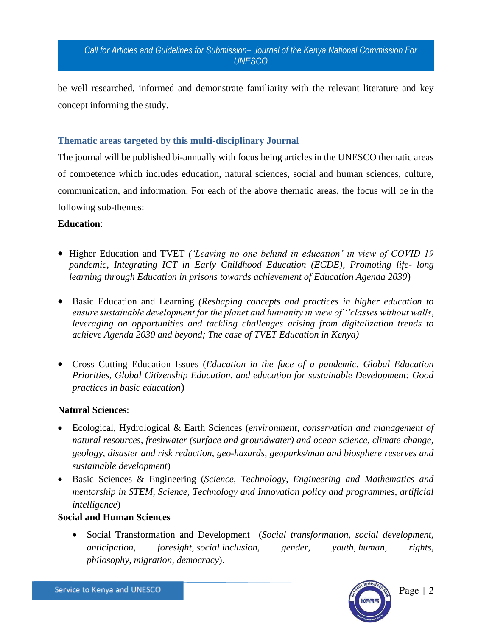be well researched, informed and demonstrate familiarity with the relevant literature and key concept informing the study.

## **Thematic areas targeted by this multi-disciplinary Journal**

The journal will be published bi-annually with focus being articles in the UNESCO thematic areas of competence which includes education, natural sciences, social and human sciences, culture, communication, and information. For each of the above thematic areas, the focus will be in the following sub-themes:

#### **Education**:

- Higher Education and TVET *('Leaving no one behind in education' in view of COVID 19 pandemic, Integrating ICT in Early Childhood Education (ECDE), Promoting life- long learning through Education in prisons towards achievement of Education Agenda 2030*)
- Basic Education and Learning *(Reshaping concepts and practices in higher education to ensure sustainable development for the planet and humanity in view of ''classes without walls, leveraging on opportunities and tackling challenges arising from digitalization trends to achieve Agenda 2030 and beyond; The case of TVET Education in Kenya)*
- Cross Cutting Education Issues (*Education in the face of a pandemic*, *Global Education Priorities, Global Citizenship Education, and education for sustainable Development: Good practices in basic education*)

#### **Natural Sciences**:

- Ecological, Hydrological & Earth Sciences (*environment, conservation and management of natural resources, freshwater (surface and groundwater) and ocean science, climate change, geology, disaster and risk reduction, geo-hazards, geoparks/man and biosphere reserves and sustainable development*)
- Basic Sciences & Engineering (*Science, Technology, Engineering and Mathematics and mentorship in STEM, Science, Technology and Innovation policy and programmes, artificial intelligence*)

#### **Social and Human Sciences**

• Social Transformation and Development (*Social transformation, social development, anticipation, foresight, social inclusion, gender, youth, human, rights, philosophy, migration, democracy*).

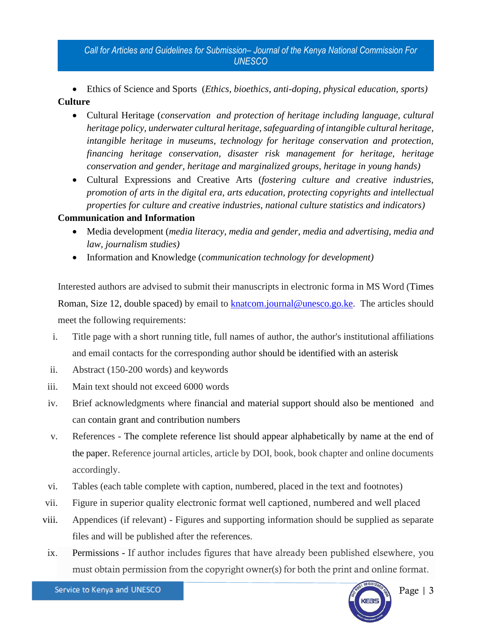• Ethics of Science and Sports (*Ethics, bioethics, anti-doping, physical education, sports)* **Culture**

- Cultural Heritage (*conservation and protection of heritage including language, cultural heritage policy, underwater cultural heritage, safeguarding of intangible cultural heritage, intangible heritage in museums, technology for heritage conservation and protection, financing heritage conservation, disaster risk management for heritage, heritage conservation and gender, heritage and marginalized groups, heritage in young hands)*
- Cultural Expressions and Creative Arts (*fostering culture and creative industries, promotion of arts in the digital era, arts education, protecting copyrights and intellectual properties for culture and creative industries, national culture statistics and indicators)*

# **Communication and Information**

- Media development (*media literacy, media and gender, media and advertising, media and law, journalism studies)*
- Information and Knowledge (*communication technology for development)*

Interested authors are advised to submit their manuscripts in electronic forma in MS Word (Times Roman, Size 12, double spaced) by email to **knatcom.journal@unesco.go.ke**. The articles should meet the following requirements:

- i. Title page with a short running title, full names of author, the author's institutional affiliations and email contacts for the corresponding author should be identified with an asterisk
- ii. Abstract (150-200 words) and keywords
- iii. Main text should not exceed 6000 words
- iv. Brief acknowledgments where financial and material support should also be mentioned and can contain grant and contribution numbers
- v. References The complete reference list should appear alphabetically by name at the end of the paper. Reference journal articles, article by DOI, book, book chapter and online documents accordingly.
- vi. Tables (each table complete with caption, numbered, placed in the text and footnotes)
- vii. Figure in superior quality electronic format well captioned, numbered and well placed
- viii. Appendices (if relevant) Figures and supporting information should be supplied as separate files and will be published after the references.
- ix. Permissions If author includes figures that have already been published elsewhere, you must obtain permission from the copyright owner(s) for both the print and online format.

Service to Kenya and UNESCO



Page | 3